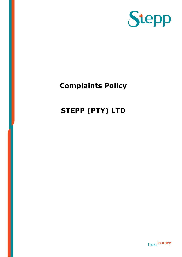

**Trust**Journey

## Complaints Policy

## STEPP (PTY) LTD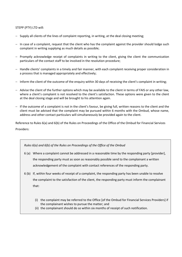## STEPP (PTY) LTD will:

- − Supply all clients of the lines of complaint reporting, in writing, at the deal closing meeting;
- − In case of a complaint, request that the client who has the complaint against the provider should lodge such complaint in writing supplying as much details as possible;
- − Promptly acknowledge receipt of complaints in writing to the client, giving the client the communication particulars of the contact staff to be involved in the resolution procedure;
- − Handle clients' complaints in a timely and fair manner, with each complaint receiving proper consideration in a process that is managed appropriately and effectively;
- − Inform the client of the outcome of the enquiry within 30 days of receiving the client's complaint in writing;
- − Advise the client of the further options which may be available to the client in terms of FAIS or any other law, where a client's complaint is not resolved to the client's satisfaction. These options were given to the client at the deal closing stage and will be brought to his attention again.
- − If the outcome of a complaint is not in the client's favour, be giving full, written reasons to the client and the client must be advised that the complaint may be pursued within 6 months with the Ombud, whose name, address and other contact particulars will simultaneously be provided again to the client.

Reference to Rules 6(a) and 6(b) of the Rules on Proceedings of the Office of the Ombud for Financial Services Providers:

Rules 6(a) and 6(b) of the Rules on Proceedings of the Office of the Ombud

- 6 (a) Where a complaint cannot be addressed in a reasonable time by the responding party [provider], the responding party must as soon as reasonably possible send to the complainant a written acknowledgement of the complaint with contact references of the responding party.
- 6 (b) If, within four weeks of receipt of a complaint, the responding party has been unable to resolve the complaint to the satisfaction of the client, the responding party must inform the complainant that:
	- (i) the complaint may be referred to the Office [of the Ombud for Financial Services Providers] if the complainant wishes to pursue the matter; and
	- (ii) the complainant should do so within six months of receipt of such notification.